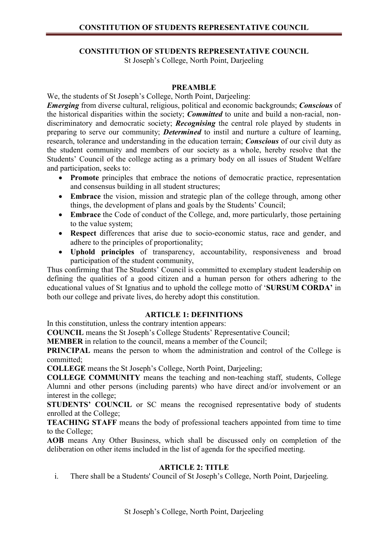# CONSTITUTION OF STUDENTS REPRESENTATIVE COUNCIL

St Joseph's College, North Point, Darjeeling

## PREAMBLE

We, the students of St Joseph's College, North Point, Darjeeling:

Emerging from diverse cultural, religious, political and economic backgrounds; Conscious of the historical disparities within the society; *Committed* to unite and build a non-racial, nondiscriminatory and democratic society; **Recognising** the central role played by students in preparing to serve our community; **Determined** to instil and nurture a culture of learning, research, tolerance and understanding in the education terrain; *Conscious* of our civil duty as the student community and members of our society as a whole, hereby resolve that the Students' Council of the college acting as a primary body on all issues of Student Welfare and participation, seeks to:

- Promote principles that embrace the notions of democratic practice, representation and consensus building in all student structures;
- Embrace the vision, mission and strategic plan of the college through, among other things, the development of plans and goals by the Students' Council;
- Embrace the Code of conduct of the College, and, more particularly, those pertaining to the value system;
- Respect differences that arise due to socio-economic status, race and gender, and adhere to the principles of proportionality;
- Uphold principles of transparency, accountability, responsiveness and broad participation of the student community,

Thus confirming that The Students' Council is committed to exemplary student leadership on defining the qualities of a good citizen and a human person for others adhering to the educational values of St Ignatius and to uphold the college motto of 'SURSUM CORDA' in both our college and private lives, do hereby adopt this constitution.

## ARTICLE 1: DEFINITIONS

In this constitution, unless the contrary intention appears:

COUNCIL means the St Joseph's College Students' Representative Council;

MEMBER in relation to the council, means a member of the Council;

PRINCIPAL means the person to whom the administration and control of the College is committed;

COLLEGE means the St Joseph's College, North Point, Darjeeling;

COLLEGE COMMUNITY means the teaching and non-teaching staff, students, College Alumni and other persons (including parents) who have direct and/or involvement or an interest in the college;

STUDENTS' COUNCIL or SC means the recognised representative body of students enrolled at the College;

TEACHING STAFF means the body of professional teachers appointed from time to time to the College;

AOB means Any Other Business, which shall be discussed only on completion of the deliberation on other items included in the list of agenda for the specified meeting.

# ARTICLE 2: TITLE

i. There shall be a Students' Council of St Joseph's College, North Point, Darjeeling.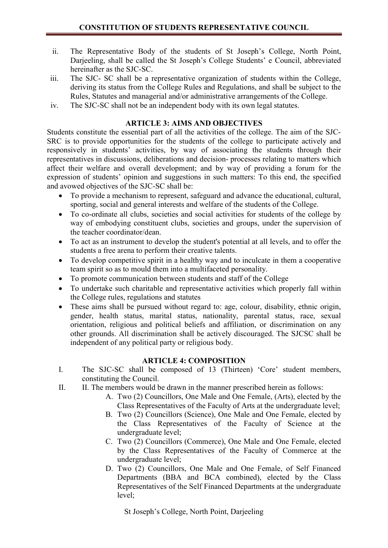- ii. The Representative Body of the students of St Joseph's College, North Point, Darjeeling, shall be called the St Joseph's College Students' e Council, abbreviated hereinafter as the SJC-SC.
- iii. The SJC- SC shall be a representative organization of students within the College, deriving its status from the College Rules and Regulations, and shall be subject to the Rules, Statutes and managerial and/or administrative arrangements of the College.
- iv. The SJC-SC shall not be an independent body with its own legal statutes.

#### ARTICLE 3: AIMS AND OBJECTIVES

Students constitute the essential part of all the activities of the college. The aim of the SJC-SRC is to provide opportunities for the students of the college to participate actively and responsively in students' activities, by way of associating the students through their representatives in discussions, deliberations and decision- processes relating to matters which affect their welfare and overall development; and by way of providing a forum for the expression of students' opinion and suggestions in such matters: To this end, the specified and avowed objectives of the SJC-SC shall be:

- To provide a mechanism to represent, safeguard and advance the educational, cultural, sporting, social and general interests and welfare of the students of the College.
- To co-ordinate all clubs, societies and social activities for students of the college by way of embodying constituent clubs, societies and groups, under the supervision of the teacher coordinator/dean.
- To act as an instrument to develop the student's potential at all levels, and to offer the students a free arena to perform their creative talents.
- To develop competitive spirit in a healthy way and to inculcate in them a cooperative team spirit so as to mould them into a multifaceted personality.
- To promote communication between students and staff of the College
- To undertake such charitable and representative activities which properly fall within the College rules, regulations and statutes
- These aims shall be pursued without regard to: age, colour, disability, ethnic origin, gender, health status, marital status, nationality, parental status, race, sexual orientation, religious and political beliefs and affiliation, or discrimination on any other grounds. All discrimination shall be actively discouraged. The SJCSC shall be independent of any political party or religious body.

## ARTICLE 4: COMPOSITION

- I. The SJC-SC shall be composed of 13 (Thirteen) 'Core' student members, constituting the Council.
- II. II. The members would be drawn in the manner prescribed herein as follows:
	- A. Two (2) Councillors, One Male and One Female, (Arts), elected by the Class Representatives of the Faculty of Arts at the undergraduate level;
	- B. Two (2) Councillors (Science), One Male and One Female, elected by the Class Representatives of the Faculty of Science at the undergraduate level;
	- C. Two (2) Councillors (Commerce), One Male and One Female, elected by the Class Representatives of the Faculty of Commerce at the undergraduate level;
	- D. Two (2) Councillors, One Male and One Female, of Self Financed Departments (BBA and BCA combined), elected by the Class Representatives of the Self Financed Departments at the undergraduate level;

St Joseph's College, North Point, Darjeeling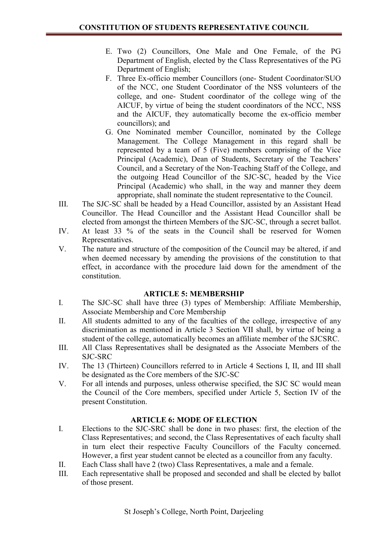- E. Two (2) Councillors, One Male and One Female, of the PG Department of English, elected by the Class Representatives of the PG Department of English;
- F. Three Ex-officio member Councillors (one- Student Coordinator/SUO of the NCC, one Student Coordinator of the NSS volunteers of the college, and one- Student coordinator of the college wing of the AICUF, by virtue of being the student coordinators of the NCC, NSS and the AICUF, they automatically become the ex-officio member councillors); and
- G. One Nominated member Councillor, nominated by the College Management. The College Management in this regard shall be represented by a team of 5 (Five) members comprising of the Vice Principal (Academic), Dean of Students, Secretary of the Teachers' Council, and a Secretary of the Non-Teaching Staff of the College, and the outgoing Head Councillor of the SJC-SC, headed by the Vice Principal (Academic) who shall, in the way and manner they deem appropriate, shall nominate the student representative to the Council.
- III. The SJC-SC shall be headed by a Head Councillor, assisted by an Assistant Head Councillor. The Head Councillor and the Assistant Head Councillor shall be elected from amongst the thirteen Members of the SJC-SC, through a secret ballot.
- IV. At least 33 % of the seats in the Council shall be reserved for Women Representatives.
- V. The nature and structure of the composition of the Council may be altered, if and when deemed necessary by amending the provisions of the constitution to that effect, in accordance with the procedure laid down for the amendment of the constitution.

#### ARTICLE 5: MEMBERSHIP

- I. The SJC-SC shall have three (3) types of Membership: Affiliate Membership, Associate Membership and Core Membership
- II. All students admitted to any of the faculties of the college, irrespective of any discrimination as mentioned in Article 3 Section VII shall, by virtue of being a student of the college, automatically becomes an affiliate member of the SJCSRC.
- III. All Class Representatives shall be designated as the Associate Members of the SJC-SRC
- IV. The 13 (Thirteen) Councillors referred to in Article 4 Sections I, II, and III shall be designated as the Core members of the SJC-SC
- V. For all intends and purposes, unless otherwise specified, the SJC SC would mean the Council of the Core members, specified under Article 5, Section IV of the present Constitution.

#### ARTICLE 6: MODE OF ELECTION

- I. Elections to the SJC-SRC shall be done in two phases: first, the election of the Class Representatives; and second, the Class Representatives of each faculty shall in turn elect their respective Faculty Councillors of the Faculty concerned. However, a first year student cannot be elected as a councillor from any faculty.
- II. Each Class shall have 2 (two) Class Representatives, a male and a female.
- III. Each representative shall be proposed and seconded and shall be elected by ballot of those present.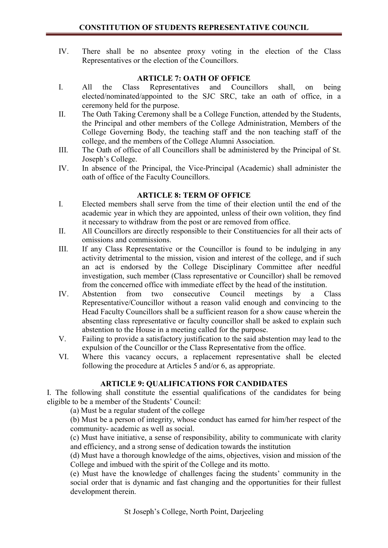IV. There shall be no absentee proxy voting in the election of the Class Representatives or the election of the Councillors.

## ARTICLE 7: OATH OF OFFICE

- I. All the Class Representatives and Councillors shall, on being elected/nominated/appointed to the SJC SRC, take an oath of office, in a ceremony held for the purpose.
- II. The Oath Taking Ceremony shall be a College Function, attended by the Students, the Principal and other members of the College Administration, Members of the College Governing Body, the teaching staff and the non teaching staff of the college, and the members of the College Alumni Association.
- III. The Oath of office of all Councillors shall be administered by the Principal of St. Joseph's College.
- IV. In absence of the Principal, the Vice-Principal (Academic) shall administer the oath of office of the Faculty Councillors.

## ARTICLE 8: TERM OF OFFICE

- I. Elected members shall serve from the time of their election until the end of the academic year in which they are appointed, unless of their own volition, they find it necessary to withdraw from the post or are removed from office.
- II. All Councillors are directly responsible to their Constituencies for all their acts of omissions and commissions.
- III. If any Class Representative or the Councillor is found to be indulging in any activity detrimental to the mission, vision and interest of the college, and if such an act is endorsed by the College Disciplinary Committee after needful investigation, such member (Class representative or Councillor) shall be removed from the concerned office with immediate effect by the head of the institution.
- IV. Abstention from two consecutive Council meetings by a Class Representative/Councillor without a reason valid enough and convincing to the Head Faculty Councillors shall be a sufficient reason for a show cause wherein the absenting class representative or faculty councillor shall be asked to explain such abstention to the House in a meeting called for the purpose.
- V. Failing to provide a satisfactory justification to the said abstention may lead to the expulsion of the Councillor or the Class Representative from the office.
- VI. Where this vacancy occurs, a replacement representative shall be elected following the procedure at Articles 5 and/or 6, as appropriate.

## ARTICLE 9: QUALIFICATIONS FOR CANDIDATES

I. The following shall constitute the essential qualifications of the candidates for being eligible to be a member of the Students' Council:

(a) Must be a regular student of the college

(b) Must be a person of integrity, whose conduct has earned for him/her respect of the community- academic as well as social.

(c) Must have initiative, a sense of responsibility, ability to communicate with clarity and efficiency, and a strong sense of dedication towards the institution

(d) Must have a thorough knowledge of the aims, objectives, vision and mission of the College and imbued with the spirit of the College and its motto.

(e) Must have the knowledge of challenges facing the students' community in the social order that is dynamic and fast changing and the opportunities for their fullest development therein.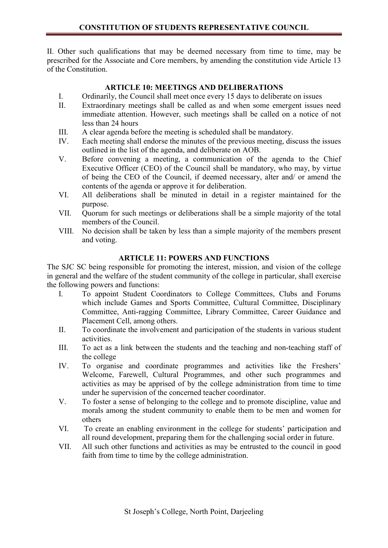II. Other such qualifications that may be deemed necessary from time to time, may be prescribed for the Associate and Core members, by amending the constitution vide Article 13 of the Constitution.

# ARTICLE 10: MEETINGS AND DELIBERATIONS

- I. Ordinarily, the Council shall meet once every 15 days to deliberate on issues
- II. Extraordinary meetings shall be called as and when some emergent issues need immediate attention. However, such meetings shall be called on a notice of not less than 24 hours
- III. A clear agenda before the meeting is scheduled shall be mandatory.
- IV. Each meeting shall endorse the minutes of the previous meeting, discuss the issues outlined in the list of the agenda, and deliberate on AOB.
- V. Before convening a meeting, a communication of the agenda to the Chief Executive Officer (CEO) of the Council shall be mandatory, who may, by virtue of being the CEO of the Council, if deemed necessary, alter and/ or amend the contents of the agenda or approve it for deliberation.
- VI. All deliberations shall be minuted in detail in a register maintained for the purpose.
- VII. Quorum for such meetings or deliberations shall be a simple majority of the total members of the Council.
- VIII. No decision shall be taken by less than a simple majority of the members present and voting.

## ARTICLE 11: POWERS AND FUNCTIONS

The SJC SC being responsible for promoting the interest, mission, and vision of the college in general and the welfare of the student community of the college in particular, shall exercise the following powers and functions:

- I. To appoint Student Coordinators to College Committees, Clubs and Forums which include Games and Sports Committee, Cultural Committee, Disciplinary Committee, Anti-ragging Committee, Library Committee, Career Guidance and Placement Cell, among others.
- II. To coordinate the involvement and participation of the students in various student activities.
- III. To act as a link between the students and the teaching and non-teaching staff of the college
- IV. To organise and coordinate programmes and activities like the Freshers' Welcome, Farewell, Cultural Programmes, and other such programmes and activities as may be apprised of by the college administration from time to time under he supervision of the concerned teacher coordinator.
- V. To foster a sense of belonging to the college and to promote discipline, value and morals among the student community to enable them to be men and women for others
- VI. To create an enabling environment in the college for students' participation and all round development, preparing them for the challenging social order in future.
- VII. All such other functions and activities as may be entrusted to the council in good faith from time to time by the college administration.